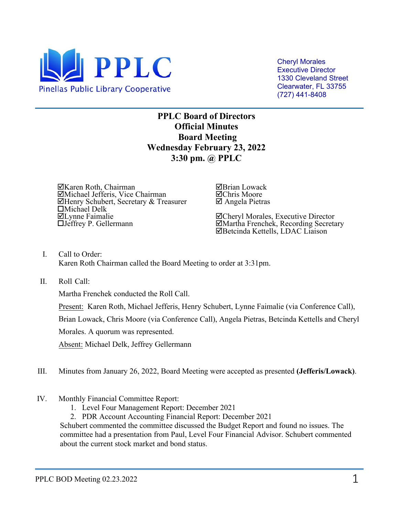

Cheryl Morales Executive Director 1330 Cleveland Street Clearwater, FL 33755 (727) 441-8408

**PPLC Board of Directors Official Minutes Board Meeting Wednesday February 23, 2022 3:30 pm. @ PPLC** 

Karen Roth, Chairman Michael Jefferis, Vice Chairman Henry Schubert, Secretary & Treasurer Michael Delk Lynne Faimalie Jeffrey P. Gellermann

Brian Lowack Chris Moore Angela Pietras

Cheryl Morales, Executive Director Martha Frenchek, Recording Secretary Betcinda Kettells, LDAC Liaison

- I. Call to Order: Karen Roth Chairman called the Board Meeting to order at 3:31pm.
- II. Roll Call:

Martha Frenchek conducted the Roll Call.

Present: Karen Roth, Michael Jefferis, Henry Schubert, Lynne Faimalie (via Conference Call),

Brian Lowack, Chris Moore (via Conference Call), Angela Pietras, Betcinda Kettells and Cheryl

Morales. A quorum was represented.

Absent: Michael Delk, Jeffrey Gellermann

- III. Minutes from January 26, 2022, Board Meeting were accepted as presented **(Jefferis/Lowack)**.
- IV. Monthly Financial Committee Report:
	- 1. Level Four Management Report: December 2021
	- 2. PDR Account Accounting Financial Report: December 2021

Schubert commented the committee discussed the Budget Report and found no issues. The committee had a presentation from Paul, Level Four Financial Advisor. Schubert commented about the current stock market and bond status.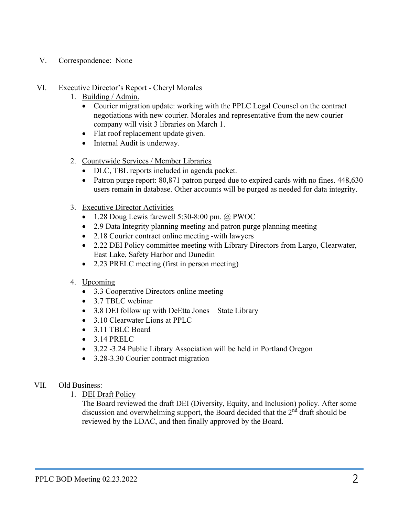## V. Correspondence: None

## VI. Executive Director's Report - Cheryl Morales

- 1. Building / Admin.
	- Courier migration update: working with the PPLC Legal Counsel on the contract negotiations with new courier. Morales and representative from the new courier company will visit 3 libraries on March 1.
	- Flat roof replacement update given.
	- Internal Audit is underway.
- 2. Countywide Services / Member Libraries
	- DLC, TBL reports included in agenda packet.
	- Patron purge report: 80,871 patron purged due to expired cards with no fines. 448,630 users remain in database. Other accounts will be purged as needed for data integrity.
- 3. Executive Director Activities
	- 1.28 Doug Lewis farewell 5:30-8:00 pm. @ PWOC
	- 2.9 Data Integrity planning meeting and patron purge planning meeting
	- 2.18 Courier contract online meeting -with lawyers
	- 2.22 DEI Policy committee meeting with Library Directors from Largo, Clearwater, East Lake, Safety Harbor and Dunedin
	- 2.23 PRELC meeting (first in person meeting)

## 4. Upcoming

- 3.3 Cooperative Directors online meeting
- 3.7 TBLC webinar
- 3.8 DEI follow up with DeEtta Jones State Library
- 3.10 Clearwater Lions at PPLC
- 3.11 TBLC Board
- 3.14 PRELC
- 3.22 -3.24 Public Library Association will be held in Portland Oregon
- 3.28-3.30 Courier contract migration

## VII. Old Business:

1. DEI Draft Policy

The Board reviewed the draft DEI (Diversity, Equity, and Inclusion) policy. After some discussion and overwhelming support, the Board decided that the  $2<sup>nd</sup>$  draft should be reviewed by the LDAC, and then finally approved by the Board.